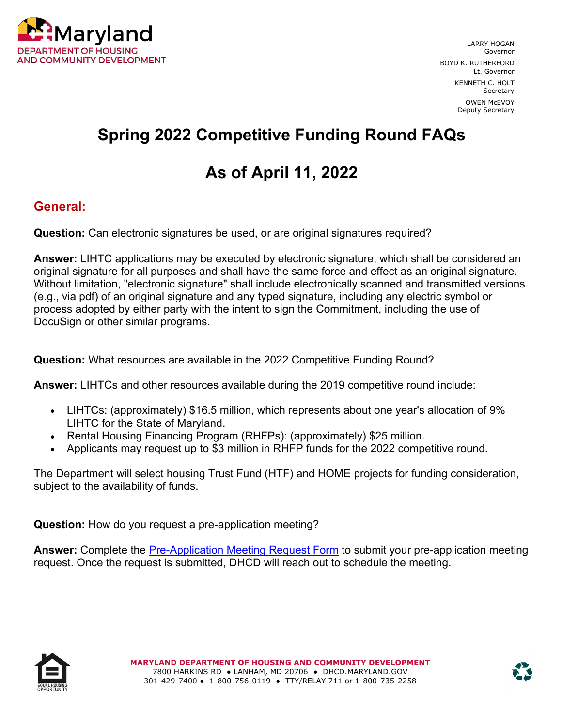

LARRY HOGAN Governor BOYD K. RUTHERFORD Lt. Governor KENNETH C. HOLT Secretary

> OWEN McEVOY Deputy Secretary

# **Spring 2022 Competitive Funding Round FAQs**

# **As of April 11, 2022**

#### **General:**

**Question:** Can electronic signatures be used, or are original signatures required?

**Answer:** LIHTC applications may be executed by electronic signature, which shall be considered an original signature for all purposes and shall have the same force and effect as an original signature. Without limitation, "electronic signature" shall include electronically scanned and transmitted versions (e.g., via pdf) of an original signature and any typed signature, including any electric symbol or process adopted by either party with the intent to sign the Commitment, including the use of DocuSign or other similar programs.

**Question:** What resources are available in the 2022 Competitive Funding Round?

**Answer:** LIHTCs and other resources available during the 2019 competitive round include:

- LIHTCs: (approximately) \$16.5 million, which represents about one year's allocation of 9% LIHTC for the State of Maryland.
- Rental Housing Financing Program (RHFPs): (approximately) \$25 million.
- Applicants may request up to \$3 million in RHFP funds for the 2022 competitive round.

The Department will select housing Trust Fund (HTF) and HOME projects for funding consideration, subject to the availability of funds.

**Question:** How do you request a pre-application meeting?

**Answer:** Complete the Pre-Application Meeting Request Form to submit your pre-application meeting request. Once the request is submitted, DHCD will reach out to schedule the meeting.



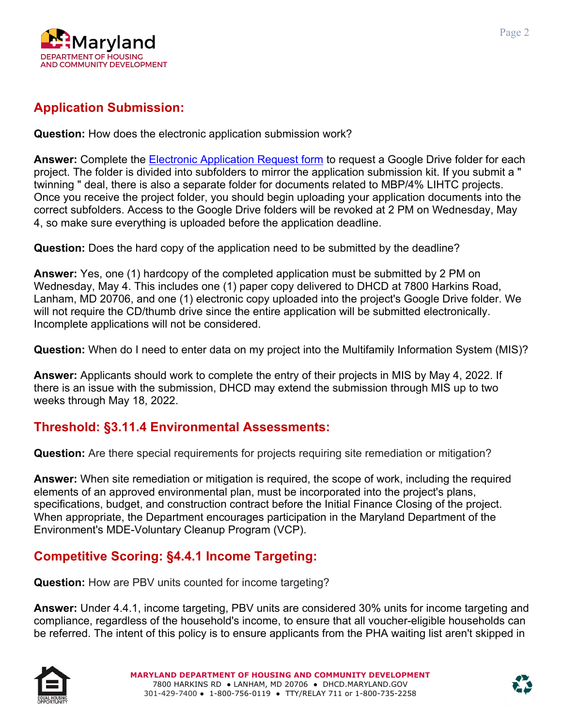

## **Application Submission:**

**Question:** How does the electronic application submission work?

**Answer:** Complete the Electronic Application Request form to request a Google Drive folder for each project. The folder is divided into subfolders to mirror the application submission kit. If you submit a " twinning " deal, there is also a separate folder for documents related to MBP/4% LIHTC projects. Once you receive the project folder, you should begin uploading your application documents into the correct subfolders. Access to the Google Drive folders will be revoked at 2 PM on Wednesday, May 4, so make sure everything is uploaded before the application deadline.

**Question:** Does the hard copy of the application need to be submitted by the deadline?

**Answer:** Yes, one (1) hardcopy of the completed application must be submitted by 2 PM on Wednesday, May 4. This includes one (1) paper copy delivered to DHCD at 7800 Harkins Road, Lanham, MD 20706, and one (1) electronic copy uploaded into the project's Google Drive folder. We will not require the CD/thumb drive since the entire application will be submitted electronically. Incomplete applications will not be considered.

**Question:** When do I need to enter data on my project into the Multifamily Information System (MIS)?

**Answer:** Applicants should work to complete the entry of their projects in MIS by May 4, 2022. If there is an issue with the submission, DHCD may extend the submission through MIS up to two weeks through May 18, 2022.

## **Threshold: §3.11.4 Environmental Assessments:**

**Question:** Are there special requirements for projects requiring site remediation or mitigation?

**Answer:** When site remediation or mitigation is required, the scope of work, including the required elements of an approved environmental plan, must be incorporated into the project's plans, specifications, budget, and construction contract before the Initial Finance Closing of the project. When appropriate, the Department encourages participation in the Maryland Department of the Environment's MDE-Voluntary Cleanup Program (VCP).

## **Competitive Scoring: §4.4.1 Income Targeting:**

**Question:** How are PBV units counted for income targeting?

**Answer:** Under 4.4.1, income targeting, PBV units are considered 30% units for income targeting and compliance, regardless of the household's income, to ensure that all voucher-eligible households can be referred. The intent of this policy is to ensure applicants from the PHA waiting list aren't skipped in



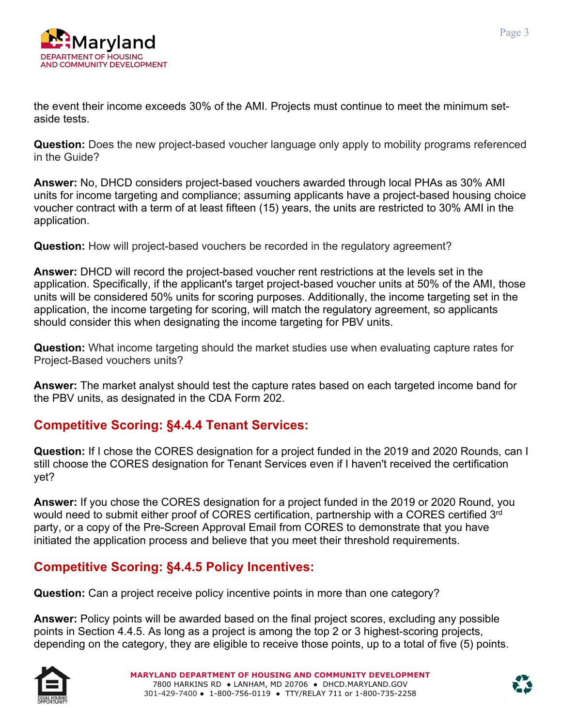

the event their income exceeds 30% of the AMI. Projects must continue to meet the minimum setaside tests.

**Question:** Does the new project-based voucher language only apply to mobility programs referenced in the Guide?

**Answer:** No, DHCD considers project-based vouchers awarded through local PHAs as 30% AMI units for income targeting and compliance; assuming applicants have a project-based housing choice voucher contract with a term of at least fifteen (15) years, the units are restricted to 30% AMI in the application.

**Question:** How will project-based vouchers be recorded in the regulatory agreement?

**Answer:** DHCD will record the project-based voucher rent restrictions at the levels set in the application. Specifically, if the applicant's target project-based voucher units at 50% of the AMI, those units will be considered 50% units for scoring purposes. Additionally, the income targeting set in the application, the income targeting for scoring, will match the regulatory agreement, so applicants should consider this when designating the income targeting for PBV units.

**Question:** What income targeting should the market studies use when evaluating capture rates for Project-Based vouchers units?

**Answer:** The market analyst should test the capture rates based on each targeted income band for the PBV units, as designated in the CDA Form 202.

## **Competitive Scoring: §4.4.4 Tenant Services:**

**Question:** If I chose the CORES designation for a project funded in the 2019 and 2020 Rounds, can I still choose the CORES designation for Tenant Services even if I haven't received the certification yet?

**Answer:** If you chose the CORES designation for a project funded in the 2019 or 2020 Round, you would need to submit either proof of CORES certification, partnership with a CORES certified 3<sup>rd</sup> party, or a copy of the Pre-Screen Approval Email from CORES to demonstrate that you have initiated the application process and believe that you meet their threshold requirements.

#### **Competitive Scoring: §4.4.5 Policy Incentives:**

**Question:** Can a project receive policy incentive points in more than one category?

**Answer:** Policy points will be awarded based on the final project scores, excluding any possible points in Section 4.4.5. As long as a project is among the top 2 or 3 highest-scoring projects, depending on the category, they are eligible to receive those points, up to a total of five (5) points.

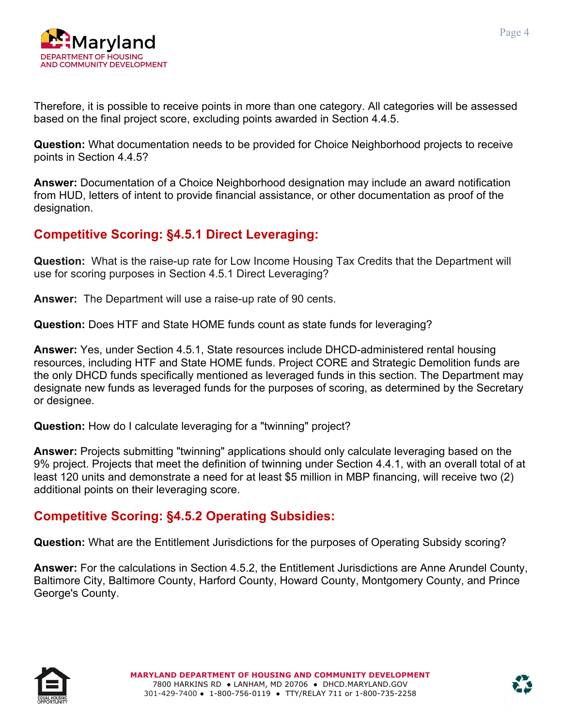

Therefore, it is possible to receive points in more than one category. All categories will be assessed based on the final project score, excluding points awarded in Section 4.4.5.

**Question:** What documentation needs to be provided for Choice Neighborhood projects to receive points in Section 4.4.5?

**Answer:** Documentation of a Choice Neighborhood designation may include an award notification from HUD, letters of intent to provide financial assistance, or other documentation as proof of the designation.

### **Competitive Scoring: §4.5.1 Direct Leveraging:**

**Question:** What is the raise-up rate for Low Income Housing Tax Credits that the Department will use for scoring purposes in Section 4.5.1 Direct Leveraging?

**Answer:** The Department will use a raise-up rate of 90 cents.

**Question:** Does HTF and State HOME funds count as state funds for leveraging?

**Answer:** Yes, under Section 4.5.1, State resources include DHCD-administered rental housing resources, including HTF and State HOME funds. Project CORE and Strategic Demolition funds are the only DHCD funds specifically mentioned as leveraged funds in this section. The Department may designate new funds as leveraged funds for the purposes of scoring, as determined by the Secretary or designee.

**Question:** How do I calculate leveraging for a "twinning" project?

**Answer:** Projects submitting "twinning" applications should only calculate leveraging based on the 9% project. Projects that meet the definition of twinning under Section 4.4.1, with an overall total of at least 120 units and demonstrate a need for at least \$5 million in MBP financing, will receive two (2) additional points on their leveraging score.

#### **Competitive Scoring: §4.5.2 Operating Subsidies:**

**Question:** What are the Entitlement Jurisdictions for the purposes of Operating Subsidy scoring?

**Answer:** For the calculations in Section 4.5.2, the Entitlement Jurisdictions are Anne Arundel County, Baltimore City, Baltimore County, Harford County, Howard County, Montgomery County, and Prince George's County.



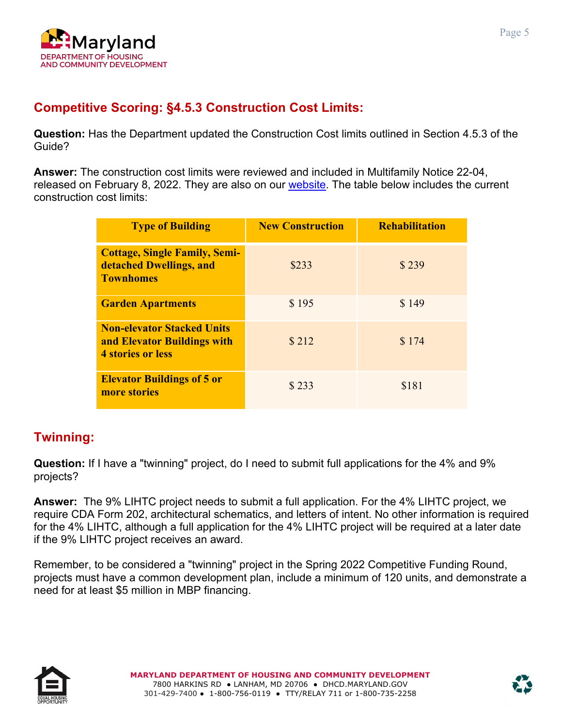

## **Competitive Scoring: §4.5.3 Construction Cost Limits:**

**Question:** Has the Department updated the Construction Cost limits outlined in Section 4.5.3 of the Guide?

**Answer:** The construction cost limits were reviewed and included in Multifamily Notice 22-04, released on February 8, 2022. They are also on our **website**. The table below includes the current construction cost limits:

| <b>Type of Building</b>                                                                      | <b>New Construction</b> | <b>Rehabilitation</b> |
|----------------------------------------------------------------------------------------------|-------------------------|-----------------------|
| <b>Cottage, Single Family, Semi-</b><br>detached Dwellings, and<br><b>Townhomes</b>          | \$233                   | \$239                 |
| <b>Garden Apartments</b>                                                                     | \$195                   | \$149                 |
| <b>Non-elevator Stacked Units</b><br>and Elevator Buildings with<br><b>4 stories or less</b> | \$212                   | \$174                 |
| <b>Elevator Buildings of 5 or</b><br>more stories                                            | \$233                   | \$181                 |

## **Twinning:**

**Question:** If I have a "twinning" project, do I need to submit full applications for the 4% and 9% projects?

**Answer:** The 9% LIHTC project needs to submit a full application. For the 4% LIHTC project, we require CDA Form 202, architectural schematics, and letters of intent. No other information is required for the 4% LIHTC, although a full application for the 4% LIHTC project will be required at a later date if the 9% LIHTC project receives an award.

Remember, to be considered a "twinning" project in the Spring 2022 Competitive Funding Round, projects must have a common development plan, include a minimum of 120 units, and demonstrate a need for at least \$5 million in MBP financing.